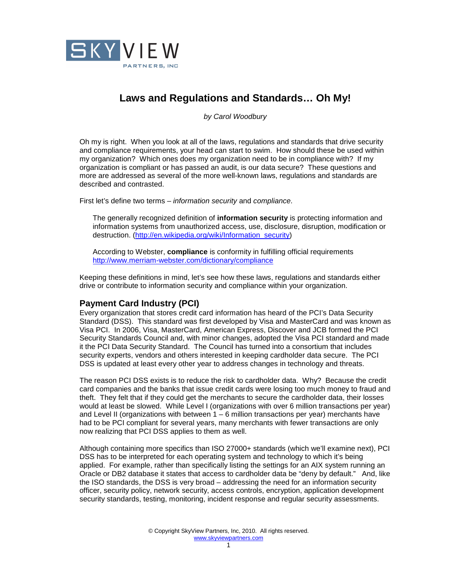

# **Laws and Regulations and Standards… Oh My!**

by Carol Woodbury

Oh my is right. When you look at all of the laws, regulations and standards that drive security and compliance requirements, your head can start to swim. How should these be used within my organization? Which ones does my organization need to be in compliance with? If my organization is compliant or has passed an audit, is our data secure? These questions and more are addressed as several of the more well-known laws, regulations and standards are described and contrasted.

First let's define two terms – information security and compliance.

The generally recognized definition of **information security** is protecting information and information systems from unauthorized access, use, disclosure, disruption, modification or destruction. (http://en.wikipedia.org/wiki/Information\_security)

According to Webster, **compliance** is conformity in fulfilling official requirements http://www.merriam-webster.com/dictionary/compliance

Keeping these definitions in mind, let's see how these laws, regulations and standards either drive or contribute to information security and compliance within your organization.

## **Payment Card Industry (PCI)**

Every organization that stores credit card information has heard of the PCI's Data Security Standard (DSS). This standard was first developed by Visa and MasterCard and was known as Visa PCI. In 2006, Visa, MasterCard, American Express, Discover and JCB formed the PCI Security Standards Council and, with minor changes, adopted the Visa PCI standard and made it the PCI Data Security Standard. The Council has turned into a consortium that includes security experts, vendors and others interested in keeping cardholder data secure. The PCI DSS is updated at least every other year to address changes in technology and threats.

The reason PCI DSS exists is to reduce the risk to cardholder data. Why? Because the credit card companies and the banks that issue credit cards were losing too much money to fraud and theft. They felt that if they could get the merchants to secure the cardholder data, their losses would at least be slowed. While Level I (organizations with over 6 million transactions per year) and Level II (organizations with between 1 – 6 million transactions per year) merchants have had to be PCI compliant for several years, many merchants with fewer transactions are only now realizing that PCI DSS applies to them as well.

Although containing more specifics than ISO 27000+ standards (which we'll examine next), PCI DSS has to be interpreted for each operating system and technology to which it's being applied. For example, rather than specifically listing the settings for an AIX system running an Oracle or DB2 database it states that access to cardholder data be "deny by default." And, like the ISO standards, the DSS is very broad – addressing the need for an information security officer, security policy, network security, access controls, encryption, application development security standards, testing, monitoring, incident response and regular security assessments.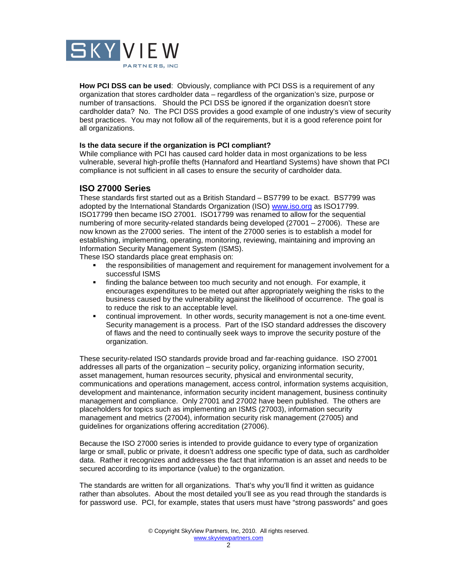

**How PCI DSS can be used**: Obviously, compliance with PCI DSS is a requirement of any organization that stores cardholder data – regardless of the organization's size, purpose or number of transactions. Should the PCI DSS be ignored if the organization doesn't store cardholder data? No. The PCI DSS provides a good example of one industry's view of security best practices. You may not follow all of the requirements, but it is a good reference point for all organizations.

#### **Is the data secure if the organization is PCI compliant?**

While compliance with PCI has caused card holder data in most organizations to be less vulnerable, several high-profile thefts (Hannaford and Heartland Systems) have shown that PCI compliance is not sufficient in all cases to ensure the security of cardholder data.

## **ISO 27000 Series**

These standards first started out as a British Standard – BS7799 to be exact. BS7799 was adopted by the International Standards Organization (ISO) www.iso.org as ISO17799. ISO17799 then became ISO 27001. ISO17799 was renamed to allow for the sequential numbering of more security-related standards being developed (27001 – 27006). These are now known as the 27000 series. The intent of the 27000 series is to establish a model for establishing, implementing, operating, monitoring, reviewing, maintaining and improving an Information Security Management System (ISMS).

These ISO standards place great emphasis on:

- the responsibilities of management and requirement for management involvement for a successful ISMS
- **finding the balance between too much security and not enough. For example, it** encourages expenditures to be meted out after appropriately weighing the risks to the business caused by the vulnerability against the likelihood of occurrence. The goal is to reduce the risk to an acceptable level.
- continual improvement. In other words, security management is not a one-time event. Security management is a process. Part of the ISO standard addresses the discovery of flaws and the need to continually seek ways to improve the security posture of the organization.

These security-related ISO standards provide broad and far-reaching guidance. ISO 27001 addresses all parts of the organization – security policy, organizing information security, asset management, human resources security, physical and environmental security, communications and operations management, access control, information systems acquisition, development and maintenance, information security incident management, business continuity management and compliance. Only 27001 and 27002 have been published. The others are placeholders for topics such as implementing an ISMS (27003), information security management and metrics (27004), information security risk management (27005) and guidelines for organizations offering accreditation (27006).

Because the ISO 27000 series is intended to provide guidance to every type of organization large or small, public or private, it doesn't address one specific type of data, such as cardholder data. Rather it recognizes and addresses the fact that information is an asset and needs to be secured according to its importance (value) to the organization.

The standards are written for all organizations. That's why you'll find it written as guidance rather than absolutes. About the most detailed you'll see as you read through the standards is for password use. PCI, for example, states that users must have "strong passwords" and goes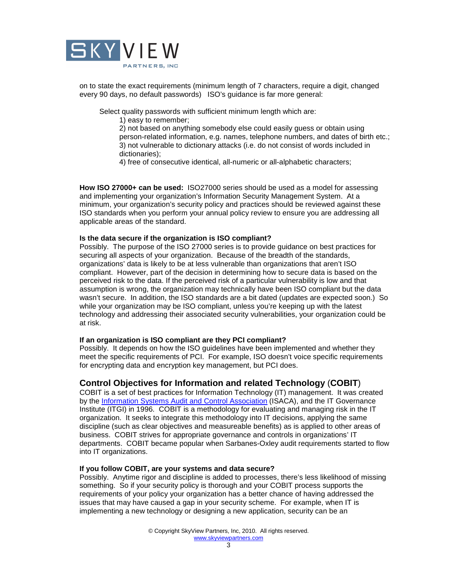

on to state the exact requirements (minimum length of 7 characters, require a digit, changed every 90 days, no default passwords) ISO's guidance is far more general:

Select quality passwords with sufficient minimum length which are:

1) easy to remember;

2) not based on anything somebody else could easily guess or obtain using person-related information, e.g. names, telephone numbers, and dates of birth etc.; 3) not vulnerable to dictionary attacks (i.e. do not consist of words included in dictionaries);

4) free of consecutive identical, all-numeric or all-alphabetic characters;

**How ISO 27000+ can be used:** ISO27000 series should be used as a model for assessing and implementing your organization's Information Security Management System. At a minimum, your organization's security policy and practices should be reviewed against these ISO standards when you perform your annual policy review to ensure you are addressing all applicable areas of the standard.

#### **Is the data secure if the organization is ISO compliant?**

Possibly. The purpose of the ISO 27000 series is to provide guidance on best practices for securing all aspects of your organization. Because of the breadth of the standards, organizations' data is likely to be at less vulnerable than organizations that aren't ISO compliant. However, part of the decision in determining how to secure data is based on the perceived risk to the data. If the perceived risk of a particular vulnerability is low and that assumption is wrong, the organization may technically have been ISO compliant but the data wasn't secure. In addition, the ISO standards are a bit dated (updates are expected soon.) So while your organization may be ISO compliant, unless you're keeping up with the latest technology and addressing their associated security vulnerabilities, your organization could be at risk.

#### **If an organization is ISO compliant are they PCI compliant?**

Possibly. It depends on how the ISO guidelines have been implemented and whether they meet the specific requirements of PCI. For example, ISO doesn't voice specific requirements for encrypting data and encryption key management, but PCI does.

## **Control Objectives for Information and related Technology** (**COBIT**)

COBIT is a set of best practices for Information Technology (IT) management. It was created by the Information Systems Audit and Control Association (ISACA), and the IT Governance Institute (ITGI) in 1996. COBIT is a methodology for evaluating and managing risk in the IT organization. It seeks to integrate this methodology into IT decisions, applying the same discipline (such as clear objectives and measureable benefits) as is applied to other areas of business. COBIT strives for appropriate governance and controls in organizations' IT departments. COBIT became popular when Sarbanes-Oxley audit requirements started to flow into IT organizations.

#### **If you follow COBIT, are your systems and data secure?**

Possibly. Anytime rigor and discipline is added to processes, there's less likelihood of missing something. So if your security policy is thorough and your COBIT process supports the requirements of your policy your organization has a better chance of having addressed the issues that may have caused a gap in your security scheme. For example, when IT is implementing a new technology or designing a new application, security can be an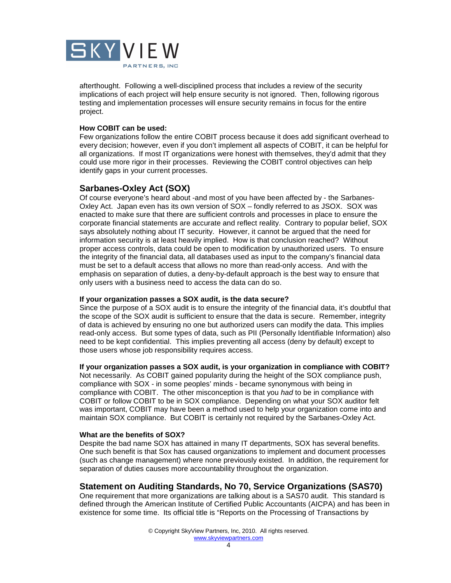

afterthought. Following a well-disciplined process that includes a review of the security implications of each project will help ensure security is not ignored. Then, following rigorous testing and implementation processes will ensure security remains in focus for the entire project.

#### **How COBIT can be used:**

Few organizations follow the entire COBIT process because it does add significant overhead to every decision; however, even if you don't implement all aspects of COBIT, it can be helpful for all organizations. If most IT organizations were honest with themselves, they'd admit that they could use more rigor in their processes. Reviewing the COBIT control objectives can help identify gaps in your current processes.

## **Sarbanes-Oxley Act (SOX)**

Of course everyone's heard about -and most of you have been affected by - the Sarbanes-Oxley Act. Japan even has its own version of SOX – fondly referred to as JSOX. SOX was enacted to make sure that there are sufficient controls and processes in place to ensure the corporate financial statements are accurate and reflect reality. Contrary to popular belief, SOX says absolutely nothing about IT security. However, it cannot be argued that the need for information security is at least heavily implied. How is that conclusion reached? Without proper access controls, data could be open to modification by unauthorized users. To ensure the integrity of the financial data, all databases used as input to the company's financial data must be set to a default access that allows no more than read-only access. And with the emphasis on separation of duties, a deny-by-default approach is the best way to ensure that only users with a business need to access the data can do so.

#### **If your organization passes a SOX audit, is the data secure?**

Since the purpose of a SOX audit is to ensure the integrity of the financial data, it's doubtful that the scope of the SOX audit is sufficient to ensure that the data is secure. Remember, integrity of data is achieved by ensuring no one but authorized users can modify the data. This implies read-only access. But some types of data, such as PII (Personally Identifiable Information) also need to be kept confidential. This implies preventing all access (deny by default) except to those users whose job responsibility requires access.

#### **If your organization passes a SOX audit, is your organization in compliance with COBIT?**

Not necessarily. As COBIT gained popularity during the height of the SOX compliance push, compliance with SOX - in some peoples' minds - became synonymous with being in compliance with COBIT. The other misconception is that you had to be in compliance with COBIT or follow COBIT to be in SOX compliance. Depending on what your SOX auditor felt was important, COBIT may have been a method used to help your organization come into and maintain SOX compliance. But COBIT is certainly not required by the Sarbanes-Oxley Act.

#### **What are the benefits of SOX?**

Despite the bad name SOX has attained in many IT departments, SOX has several benefits. One such benefit is that Sox has caused organizations to implement and document processes (such as change management) where none previously existed. In addition, the requirement for separation of duties causes more accountability throughout the organization.

## **Statement on Auditing Standards, No 70, Service Organizations (SAS70)**

One requirement that more organizations are talking about is a SAS70 audit. This standard is defined through the American Institute of Certified Public Accountants (AICPA) and has been in existence for some time. Its official title is "Reports on the Processing of Transactions by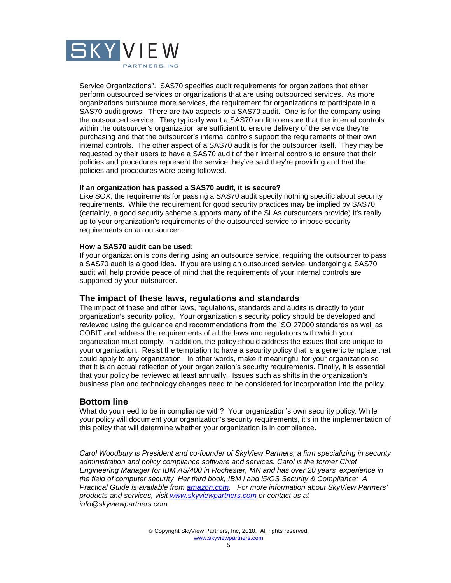

Service Organizations". SAS70 specifies audit requirements for organizations that either perform outsourced services or organizations that are using outsourced services. As more organizations outsource more services, the requirement for organizations to participate in a SAS70 audit grows. There are two aspects to a SAS70 audit. One is for the company using the outsourced service. They typically want a SAS70 audit to ensure that the internal controls within the outsourcer's organization are sufficient to ensure delivery of the service they're purchasing and that the outsourcer's internal controls support the requirements of their own internal controls. The other aspect of a SAS70 audit is for the outsourcer itself. They may be requested by their users to have a SAS70 audit of their internal controls to ensure that their policies and procedures represent the service they've said they're providing and that the policies and procedures were being followed.

#### **If an organization has passed a SAS70 audit, it is secure?**

Like SOX, the requirements for passing a SAS70 audit specify nothing specific about security requirements. While the requirement for good security practices may be implied by SAS70, (certainly, a good security scheme supports many of the SLAs outsourcers provide) it's really up to your organization's requirements of the outsourced service to impose security requirements on an outsourcer.

### **How a SAS70 audit can be used:**

If your organization is considering using an outsource service, requiring the outsourcer to pass a SAS70 audit is a good idea. If you are using an outsourced service, undergoing a SAS70 audit will help provide peace of mind that the requirements of your internal controls are supported by your outsourcer.

## **The impact of these laws, regulations and standards**

The impact of these and other laws, regulations, standards and audits is directly to your organization's security policy. Your organization's security policy should be developed and reviewed using the guidance and recommendations from the ISO 27000 standards as well as COBIT and address the requirements of all the laws and regulations with which your organization must comply. In addition, the policy should address the issues that are unique to your organization. Resist the temptation to have a security policy that is a generic template that could apply to any organization. In other words, make it meaningful for your organization so that it is an actual reflection of your organization's security requirements. Finally, it is essential that your policy be reviewed at least annually. Issues such as shifts in the organization's business plan and technology changes need to be considered for incorporation into the policy.

## **Bottom line**

What do you need to be in compliance with? Your organization's own security policy. While your policy will document your organization's security requirements, it's in the implementation of this policy that will determine whether your organization is in compliance.

Carol Woodbury is President and co-founder of SkyView Partners, a firm specializing in security administration and policy compliance software and services. Carol is the former Chief Engineering Manager for IBM AS/400 in Rochester, MN and has over 20 years' experience in the field of computer security Her third book, IBM i and i5/OS Security & Compliance: A Practical Guide is available from amazon.com. For more information about SkyView Partners' products and services, visit www.skyviewpartners.com or contact us at info@skyviewpartners.com.

> © Copyright SkyView Partners, Inc, 2010. All rights reserved. www.skyviewpartners.com